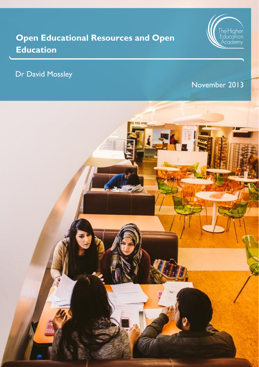# **Open Educational Resources and Open Education**



# Dr David Mossley

# November 2013

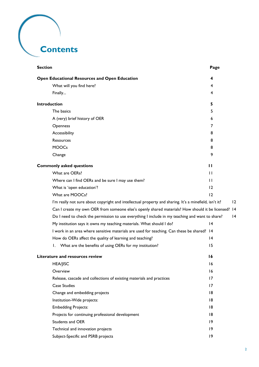# **Contents**

| <b>Section</b>                                                                                         | Page         |  |
|--------------------------------------------------------------------------------------------------------|--------------|--|
| Open Educational Resources and Open Education                                                          | 4            |  |
| What will you find here?                                                                               | 4            |  |
| Finally                                                                                                | 4            |  |
| <b>Introduction</b>                                                                                    | 5            |  |
| The basics                                                                                             | 5            |  |
| A (very) brief history of OER                                                                          | 6            |  |
| Openness                                                                                               | 7            |  |
| Accessibility                                                                                          | 8            |  |
| Resources                                                                                              | 8            |  |
| <b>MOOCs</b>                                                                                           | 8            |  |
| Change                                                                                                 | 9            |  |
| <b>Commonly asked questions</b>                                                                        | $\mathbf{H}$ |  |
| What are OERs?                                                                                         | $\mathbf{H}$ |  |
| Where can I find OERs and be sure I may use them?                                                      | $\mathbf{H}$ |  |
| What is 'open education'?                                                                              | 12           |  |
| What are MOOCs?                                                                                        | 12           |  |
| I'm really not sure about copyright and intellectual property and sharing. It's a minefield, isn't it? | 2            |  |
| Can I create my own OER from someone else's openly shared materials? How should it be licensed? 14     |              |  |
| Do I need to check the permission to use everything I include in my teaching and want to share?        | 4            |  |
| My institution says it owns my teaching materials. What should I do?                                   | 4            |  |
| I work in an area where sensitive materials are used for teaching. Can these be shared? 14             |              |  |
| How do OERs affect the quality of learning and teaching?                                               | 4            |  |
| What are the benefits of using OERs for my institution?<br>Ι.                                          | 15           |  |
| Literature and resources review                                                                        | 16           |  |
| <b>HEA/JISC</b>                                                                                        | 16           |  |
| Overview                                                                                               | 16           |  |
| Release, cascade and collections of existing materials and practices                                   | 17           |  |
| <b>Case Studies</b>                                                                                    | 17           |  |
| Change and embedding projects                                                                          | 18           |  |
| Institution-Wide projects:                                                                             | 18           |  |
| <b>Embedding Projects:</b>                                                                             | 18           |  |
| Projects for continuing professional development                                                       | 18           |  |
| Students and OER                                                                                       | 9            |  |
| Technical and innovation projects                                                                      | 19           |  |
| Subject-Specific and PSRB projects                                                                     | 9            |  |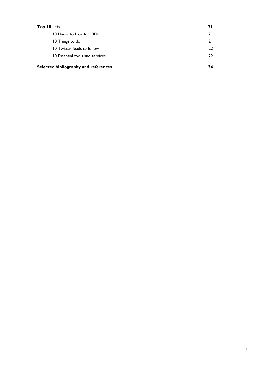| Top 10 lists                         | 2 I |
|--------------------------------------|-----|
| 10 Places to look for OER            | 21  |
| 10 Things to do                      | 21  |
| 10 Twitter feeds to follow           | 22  |
| 10 Essential tools and services      | 22  |
| Selected bibliography and references | 24  |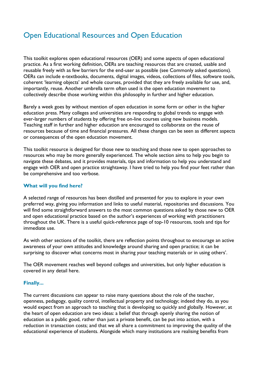# <span id="page-3-0"></span>Open Educational Resources and Open Education

This toolkit explores open educational resources (OER) and some aspects of open educational practice. As a first working definition, OERs are teaching resources that are created, usable and reusable freely with as few barriers for the end-user as possible (see Commonly asked questions). OERs can include e-textbooks, documents, digital images, videos, collections of files, software tools, coherent 'learning objects' and whole courses, provided that they are freely available for use, and, importantly, reuse. Another umbrella term often used is the open education movement to collectively describe those working within this philosophy in further and higher education.

Barely a week goes by without mention of open education in some form or other in the higher education press. Many colleges and universities are responding to global trends to engage with ever-larger numbers of students by offering free on-line courses using new business models. Teaching staff in further and higher education are encouraged to collaborate on the reuse of resources because of time and financial pressures. All these changes can be seen as different aspects or consequences of the open education movement.

This toolkit resource is designed for those new to teaching and those new to open approaches to resources who may be more generally experienced. The whole section aims to help you begin to navigate these debates, and it provides materials, tips and information to help you understand and engage with OER and open practice straightaway. I have tried to help you find your feet rather than be comprehensive and too verbose.

#### <span id="page-3-1"></span>**What will you find here?**

A selected range of resources has been distilled and presented for you to explore in your own preferred way, giving you information and links to useful material, repositories and discussions. You will find some straightforward answers to the most common questions asked by those new to OER and open educational practice based on the author's experiences of working with practitioners throughout the UK. There is a useful quick-reference page of top-10 resources, tools and tips for immediate use.

As with other sections of the toolkit, there are reflection points throughout to encourage an active awareness of your own attitudes and knowledge around sharing and open practice; it can be surprising to discover what concerns most in sharing your teaching materials or in using others'.

The OER movement reaches well beyond colleges and universities, but only higher education is covered in any detail here.

#### <span id="page-3-2"></span>**Finally...**

The current discussions can appear to raise many questions about the role of the teacher, openness, pedagogy, quality control, intellectual property and technology; indeed they do, as you would expect from an approach to teaching that is developing so quickly and globally. However, at the heart of open education are two ideas: a belief that through openly sharing the notion of education as a public good, rather than just a private benefit, can be put into action, with a reduction in transaction costs; and that we all share a commitment to improving the quality of the educational experience of students. Alongside which many institutions are realising benefits from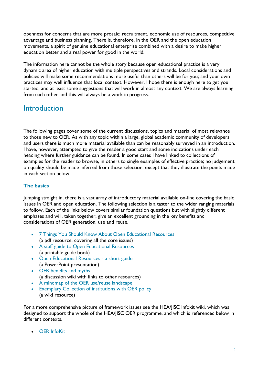openness for concerns that are more prosaic: recruitment, economic use of resources, competitive advantage and business planning. There is, therefore, in the OER and the open education movements, a spirit of genuine educational enterprise combined with a desire to make higher education better and a real power for good in the world.

The information here cannot be the whole story because open educational practice is a very dynamic area of higher education with multiple perspectives and strands. Local considerations and policies will make some recommendations more useful than others will be for you; and your own practices may well influence that local context. However, I hope there is enough here to get you started, and at least some suggestions that will work in almost any context. We are always learning from each other and this will always be a work in progress.

# <span id="page-4-0"></span>**Introduction**

The following pages cover some of the current discussions, topics and material of most relevance to those new to OER. As with any topic within a large, global academic community of developers and users there is much more material available than can be reasonably surveyed in an introduction. I have, however, attempted to give the reader a good start and some indications under each heading where further guidance can be found. In some cases I have linked to collections of examples for the reader to browse, in others to single examples of effective practice; no judgement on quality should be made inferred from those selection, except that they illustrate the points made in each section below.

## <span id="page-4-1"></span>**The basics**

Jumping straight in, there is a vast array of introductory material available on-line covering the basic issues in OER and open education. The following selection is a taster to the wider ranging materials to follow. Each of the links below covers similar foundation questions but with slightly different emphases and will, taken together, give an excellent grounding in the key benefits and considerations of OER generation, use and reuse.

- [7 Things You Should Know About Open Educational Resources](http://net.educause.edu/ir/library/pdf/ELI7061.pdf) (a pdf resource, covering all the core issues)
- [A staff guide to Open Educational Resources](http://open.jorum.ac.uk/xmlui/handle/123456789/5819) (a printable guide book)
- [Open Educational Resources -](http://www.heacademy.ac.uk/assets/documents/disciplines/HealthSciences/new-to-teaching-toolkit/oer/presentation-why-oer.ppt) a short guide (a PowerPoint presentation)
- [OER benefits and myths](http://wikieducator.org/Educators_care/OER_Benefits_and_myths) (a discussion wiki with links to other resources)
- [A mindmap of the OER use/reuse landscape](http://www.mindmeister.com/76726554/oer-use-reuse-landscape)
- [Exemplary Collection of institutions with OER policy](http://wikieducator.org/Exemplary_Collection_of_institutions_with_OER_policy) (a wiki resource)

For a more comprehensive picture of framework issues see the HEA/JISC Infokit wiki, which was designed to support the whole of the HEA/JISC OER programme, and which is referenced below in different contexts.

[OER InfoKit](https://openeducationalresources.pbworks.com/w/page/24836860/What%20are%20Open%20Educational%20Resources)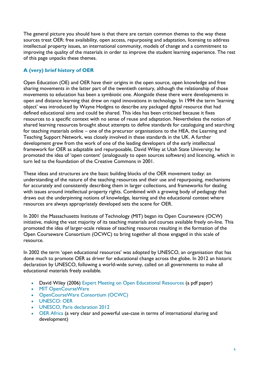The general picture you should have is that there are certain common themes to the way these sources treat OER: free availability, open access, repurposing and adaptation, licensing to address intellectual property issues, an international community, models of change and a commitment to improving the quality of the materials in order to improve the student learning experience. The rest of this page unpacks these themes.

## <span id="page-5-0"></span>**A (very) brief history of OER**

Open Education (OE) and OER have their origins in the open source, open knowledge and free sharing movements in the latter part of the twentieth century, although the relationship of those movements to education has been a symbiotic one. Alongside these there were developments in open and distance learning that drew on rapid innovations in technology. In 1994 the term 'learning object' was introduced by Wayne Hodgins to describe any packaged digital resource that had defined educational aims and could be shared. This idea has been criticised because it fixes resources to a specific context with no sense of reuse and adaptation. Nevertheless the notion of shared learning resources brought about attempts to define standards for cataloguing and searching for teaching materials online – one of the precursor organisations to the HEA, the Learning and Teaching Support Network, was closely involved in these standards in the UK. A further development grew from the work of one of the leading developers of the early intellectual framework for OER as adaptable and repurposable, David Wiley at Utah State University; he promoted the idea of 'open content' (analogously to open sources software) and licencing, which in turn led to the foundation of the Creative Commons in 2001.

These ideas and structures are the basic building blocks of the OER movement today: an understanding of the nature of the teaching resources and their use and repurposing, mechanisms for accurately and consistently describing them in larger collections, and frameworks for dealing with issues around intellectual property rights. Combined with a growing body of pedagogy that draws out the underpinning notions of knowledge, learning and the educational context where resources are always appropriately developed sets the scene for OER.

In 2001 the Massachusetts Institute of Technology (MIT) began its Open Courseware (OCW) initiative, making the vast majority of its teaching materials and courses available freely on-line. This promoted the idea of larger-scale release of teaching resources resulting in the formation of the Open Courseware Consortium (OCWC) to bring together all those engaged in this scale of resource.

In 2002 the term 'open educational resources' was adopted by UNESCO, an organisation that has done much to promote OER as driver for educational change across the globe. In 2012 an historic declaration by UNESCO, following a world-wide survey, called on all governments to make all educational materials freely available.

- David Wiley (2006) [Expert Meeting on Open Educational Resources](http://www.oecd.org/dataoecd/19/26/36224377.pdf) (a pdf paper)
- [MIT OpenCourseWare](http://ocw.mit.edu/index.htm)
- [OpenCourseWare Consortium \(OCWC\)](http://www.ocwconsortium.org/)
- [UNESCO: OER](http://www.unesco.org/new/en/communication-and-information/access-to-knowledge/open-educational-resources/)
- [UNESCO, Paris declaration 2012](http://www.unesco.org/new/en/communication-and-information/resources/news-and-in-focus-articles/in-focus-articles/2012/open-educational-resources-congress-passes-historic-declaration/)
- [OER Africa](http://www.oerafrica.org/) (a very clear and powerful use-case in terms of international sharing and development)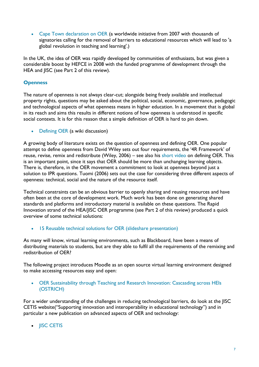• [Cape Town declaration on OER](http://www.capetowndeclaration.org/read-the-declaration) (a worldwide initiative from 2007 with thousands of signatories calling for the removal of barriers to educational resources which will lead to 'a global revolution in teaching and learning'.)

In the UK, the idea of OER was rapidly developed by communities of enthusiasts, but was given a considerable boost by HEFCE in 2008 with the funded programme of development through the HEA and JISC (see Part 2 of this review).

#### <span id="page-6-0"></span>**Openness**

The nature of openness is not always clear-cut; alongside being freely available and intellectual property rights, questions may be asked about the political, social, economic, governance, pedagogic and technological aspects of what openness means in higher education. In a movement that is global in its reach and aims this results in different notions of how openness is understood in specific social contexts. It is for this reason that a simple definition of OER is hard to pin down.

[Defining OER](http://wikieducator.org/Educators_care/Defining_OER) (a wiki discussion)

A growing body of literature exists on the question of openness and defining OER. One popular attempt to define openness from David Wiley sets out four requirements, the '4R Framework' of reuse, revise, remix and redistribute (Wiley, 2006) – see also his [short video](http://wikieducator.org/Educators_care/Video_Signpost_-_David_Wiley) on defining OER. This is an important point, since it says that OER should be more than unchanging learning objects. There is, therefore, in the OER movement a commitment to look at openness beyond just a solution to IPR questions. Tuomi (2006) sets out the case for considering three different aspects of openness: technical, social and the nature of the resource itself.

Technical constraints can be an obvious barrier to openly sharing and reusing resources and have often been at the core of development work. Much work has been done on generating shared standards and platforms and introductory material is available on these questions. The Rapid Innovation strand of the HEA/JISC OER programme (see Part 2 of this review) produced a quick overview of some technical solutions:

• [15 Reusable technical solutions for OER \(slideshare presentation\)](http://www.slideshare.net/fullscreen/JISC/oerrapidinnovation/1)

As many will know, virtual learning environments, such as Blackboard, have been a means of distributing materials to students, but are they able to fulfil all the requirements of the remixing and redistribution of OER?

The following project introduces Moodle as an open source virtual learning environment designed to make accessing resources easy and open:

 [OER Sustainability through Teaching and Research Innovation: Cascasding across HEIs](http://ostrich.bath.ac.uk/node/60)  [\(OSTRICH\)](http://ostrich.bath.ac.uk/node/60)

For a wider understanding of the challenges in reducing technological barriers, do look at the JISC CETIS website("Supporting innovation and interoperability in educational technology") and in particular a new publication on advanced aspects of OER and technology:

• **[JISC CETIS](http://jisc.cetis.ac.uk/)**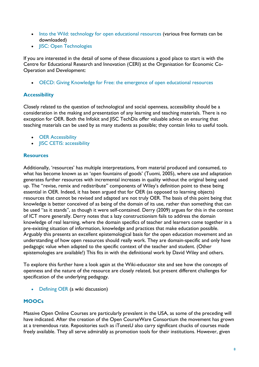- [Into the Wild: technology for open educational resources](http://publications.cetis.ac.uk/2012/601) (various free formats can be downloaded)
- **[JISC: Open Technologies](http://www.jisc.ac.uk/whatwedo/topics/opentechnologies.aspx)**

If you are interested in the detail of some of these discussions a good place to start is with the Centre for Educational Research and Innovation (CERI) at the Organisation for Economic Co-Operation and Development:

[OECD: Giving Knowledge for Free: the emergence of open educational resources](http://www.keepeek.com/Digital-Asset-Management/oecd/education/giving-knowledge-for-free_9789264032125-en)

## <span id="page-7-0"></span>**Accessibility**

Closely related to the question of technological and social openness, accessibility should be a consideration in the making and presentation of any learning and teaching materials. There is no exception for OER. Both the Infokit and JISC TechDis offer valuable advice on ensuring that teaching materials can be used by as many students as possible; they contain links to useful tools.

- **•** [OER Accessibility](https://openeducationalresources.pbworks.com/w/page/25029246/Accessibility%20considerations)
- **[JISC CETIS: accessibility](http://jisc.cetis.ac.uk/topic/accessibility)**

#### <span id="page-7-1"></span>**Resources**

Additionally, 'resources' has multiple interpretations, from material produced and consumed, to what has become known as an 'open fountains of goods' (Tuomi, 2005), where use and adaptation generates further resources with incremental increases in quality without the original being used up. The "revise, remix and redistribute" components of Wiley's definition point to these being essential in OER. Indeed, it has been argued that for OER (as opposed to learning objects) resources that cannot be revised and adapted are not truly OER. The basis of this point being that knowledge is better conceived of as being of the domain of its use, rather than something that can be used "as it stands", as though it were self-contained. Derry (2009) argues for this in the context of ICT more generally. Derry notes that a lazy constructionism fails to address the domain knowledge of real learning, where the domain specifics of teacher and learners come together in a pre-existing situation of information, knowledge and practices that make education possible. Arguably this presents an excellent epistemological basis for the open education movement and an understanding of how open resources should really work. They are domain-specific and only have pedagogic value when adapted to the specific context of the teacher and student. (Other epistemologies are available!) This fits in with the definitional work by David Wiley and others.

To explore this further have a look again at the Wiki-educator site and see how the concepts of openness and the nature of the resource are closely related, but present different challenges for specification of the underlying pedagogy.

[Defining OER](http://wikieducator.org/Educators_care/Defining_OER) (a wiki discussion)

### <span id="page-7-2"></span>**MOOCs**

Massive Open Online Courses are particularly prevalent in the USA, as some of the preceding will have indicated. After the creation of the Open CourseWare Consortium the movement has grown at a tremendous rate. Repositories such as iTunesU also carry significant chucks of courses made freely available. They all serve admirably as promotion tools for their institutions. However, given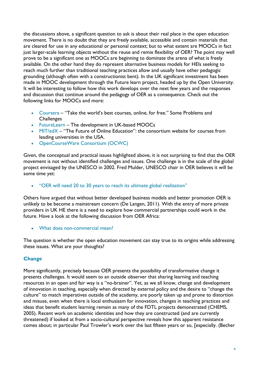the discussions above, a significant question to ask is about their real place in the open education movement. There is no doubt that they are freely available, accessible and contain materials that are cleared for use in any educational or personal context; but to what extent are MOOCs in fact just larger-scale learning objects without the reuse and remix flexibility of OER? The point may well prove to be a significant one as MOOCs are beginning to dominate the arena of what is freely available. On the other hand they do represent alternative business models for HEIs seeking to reach much further than traditional teaching practices allow and usually have other pedagogic grounding (although often with a constructionist bent). In the UK significant investment has been made in MOOC development through the Future learn project, headed up by the Open University. It will be interesting to follow how this work develops over the next few years and the responses and discussion that continue around the pedagogy of OER as a consequence. Check out the following links for MOOCs and more:

- [Coursera](https://www.coursera.org/) "Take the world's best courses, online, for free." Some Problems and **Challenges**
- [FutureLearn](http://futurelearn.com/) The development in UK-based MOOCs
- [MIT/edX](https://www.edx.org/) "The Future of Online Education": the consortium website for courses from leading universities in the USA.
- [OpenCourseWare Consortium \(OCWC\)](http://www.ocwconsortium.org/)

Given, the conceptual and practical issues highlighted above, it is not surprising to find that the OER movement is not without identified challenges and issues. One challenge is in the scale of the global project envisaged by the UNESCO in 2002. Fred Mulder, UNESCO chair in OER believes it will be some time yet:

["OER will need 20 to 30 years to reach its ultimate global realization"](http://www.elearningeuropa.info/es/node/121733)

Others have argued that without better developed business models and better promotion OER is unlikely to be become a mainstream concern (De Langen, 2011). With the entry of more private providers in UK HE there is a need to explore how commercial partnerships could work in the future. Have a look at the following discussion from OER Africa:

[What does non-commercial mean?](http://www.oerafrica.org/copyright/CreativeCommonsIntroduction/Criticismsofthenoncommercialclause/tabid/1282/Default.aspx)

The question is whether the open education movement can stay true to its origins while addressing these issues. What are your thoughts?

#### <span id="page-8-0"></span>**Change**

More significantly, precisely because OER presents the possibility of transformative change it presents challenges. It would seem to an outside observer that sharing learning and teaching resources in an open and fair way is a "no-brainer". Yet, as we all know, change and development of innovation in teaching, especially when directed by external policy and the desire to "change the culture" to match imperatives outside of the academy, are poorly taken up and prone to distortion and misuse, even when there is local enthusiasm for innovation, changes in teaching practices and ideas that benefit student learning remain as many of the FDTL projects demonstrated (CHEMS, 2005). Recent work on academic identities and how they are constructed (and are currently threatened) if looked at from a socio-cultural perspective reveals how this apparent resistance comes about; in particular Paul Trowler's work over the last fifteen years or so, [especially. (Becher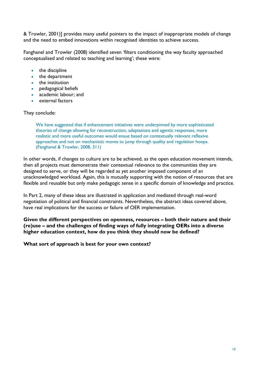& Trowler, 2001)] provides many useful pointers to the impact of inappropriate models of change and the need to embed innovations within recognised identities to achieve success.

Fanghanel and Trowler (2008) identified seven 'filters conditioning the way faculty approached conceptualised and related to teaching and learning'; these were:

- the discipline
- the department
- the institution
- pedagogical beliefs
- academic labour; and
- external factors

#### They conclude:

We have suggested that if enhancement initiatives were underpinned by more sophisticated theories of change allowing for reconstruction, adaptations and agentic responses, more realistic and more useful outcomes would ensue based on contextually relevant reflexive approaches and not on mechanistic moves to jump through quality and regulation hoops. (Fanghanel & Trowler, 2008, 311)

In other words, if changes to culture are to be achieved, as the open education movement intends, then all projects must demonstrate their contextual relevance to the communities they are designed to serve, or they will be regarded as yet another imposed component of an unacknowledged workload. Again, this is mutually supporting with the notion of resources that are flexible and reusable but only make pedagogic sense in a specific domain of knowledge and practice.

In Part 2, many of these ideas are illustrated in application and mediated through real-word negotiation of political and financial constraints. Nevertheless, the abstract ideas covered above, have real implications for the success or failure of OER implementation.

**Given the different perspectives on openness, resources – both their nature and their (re)use – and the challenges of finding ways of fully integrating OERs into a diverse higher education context, how do you think they should now be defined?**

**What sort of approach is best for your own context?**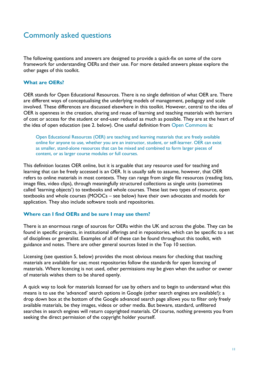# <span id="page-10-0"></span>Commonly asked questions

The following questions and answers are designed to provide a quick-fix on some of the core framework for understanding OERs and their use. For more detailed answers please explore the other pages of this toolkit.

#### <span id="page-10-1"></span>**What are OERs?**

OER stands for Open Educational Resources. There is no single definition of what OER are. There are different ways of conceptualising the underlying models of management, pedagogy and scale involved. These differences are discussed elsewhere in this toolkit. However, central to the idea of OER is openness in the creation, sharing and reuse of learning and teaching materials with barriers of cost or access for the student or end-user reduced as much as possible. They are at the heart of the idea of open education (see 2. below). One useful definition from [Open Commons](http://wiki.oercommons.org/index.php/Why_OER%3F) is:

Open Educational Resources (OER) are teaching and learning materials that are freely available online for anyone to use, whether you are an instructor, student, or self-learner. OER can exist as smaller, stand-alone resources that can be mixed and combined to form larger pieces of content, or as larger course modules or full courses.

This definition locates OER online, but it is arguable that any resource used for teaching and learning that can be freely accessed is an OER. It is usually safe to assume, however, that OER refers to online materials in most contexts. They can range from single file resources (reading lists, image files, video clips), through meaningfully structured collections as single units (sometimes called 'learning objects') to textbooks and whole courses. These last two types of resource, open textbooks and whole courses (MOOCs – see below) have their own advocates and models for application. They also include software tools and repositories.

#### <span id="page-10-2"></span>**Where can I find OERs and be sure I may use them?**

There is an enormous range of sources for OERs within the UK and across the globe. They can be found in specific projects, in institutional offerings and in repositories, which can be specific to a set of disciplines or generalist. Examples of all of these can be found throughout this toolkit, with guidance and notes. There are other general sources listed in the Top 10 section.

Licensing (see question 5, below) provides the most obvious means for checking that teaching materials are available for use; most repositories follow the standards for open licencing of materials. Where licencing is not used, other permissions may be given when the author or owner of materials wishes them to be shared openly.

<span id="page-10-3"></span>A quick way to look for materials licensed for use by others and to begin to understand what this means is to use the 'advanced' search options in Google (other search engines are available!): a drop down box at the bottom of the Google advanced search page allows you to filter only freely available materials, be they images, videos or other media. But beware, standard, unfiltered searches in search engines will return copyrighted materials. Of course, nothing prevents you from seeking the direct permission of the copyright holder yourself.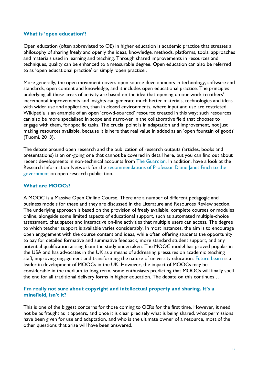#### **What is 'open education'?**

Open education (often abbreviated to OE) in higher education is academic practice that stresses a philosophy of sharing freely and openly the ideas, knowledge, methods, platforms, tools, approaches and materials used in learning and teaching. Through shared improvements in resources and techniques, quality can be enhanced to a measurable degree. Open education can also be referred to as 'open educational practice' or simply 'open practice'.

More generally, the open movement covers open source developments in technology, software and standards, open content and knowledge, and it includes open educational practice. The principles underlying all these areas of activity are based on the idea that opening up our work to others' incremental improvements and insights can generate much better materials, technologies and ideas with wider use and application, than in closed environments, where input and use are restricted. Wikipedia is an example of an open 'crowd-sourced' resource created in this way; such resources can also be more specialised in scope and narrower in the collaborative field that chooses to engage with them, for specific tasks. The crucial point is in adaptation and improvement, not just making resources available, because it is here that real value in added as an 'open fountain of goods' (Tuomi, 2013).

The debate around open research and the publication of research outputs (articles, books and presentations) is an on-going one that cannot be covered in detail here, but you can find out about recent developments in non-technical accounts from [The Guardian.](http://www.guardian.co.uk/higher-education-network/open-access) In addition, have a look at the Research Information Network for the recommendations of Professor Dame Janet Finch to the [government](http://www.researchinfonet.org/publish/finch/) on open research publication.

#### <span id="page-11-0"></span>**What are MOOCs?**

A MOOC is a Massive Open Online Course. There are a number of different pedagogic and business models for these and they are discussed in the Literature and Resources Review section. The underlying approach is based on the provision of freely available, complete courses or modules online, alongside some limited aspects of educational support, such as automated multiple-choice assessment, chat spaces and interactive on-line activities that multiple users can access. The degree to which teacher support is available varies considerably. In most instances, the aim is to encourage open engagement with the course content and ideas, while often offering students the opportunity to pay for detailed formative and summative feedback, more standard student support, and any potential qualification arising from the study undertaken. The MOOC model has proved popular in the USA and has advocates in the UK as a means of addressing pressures on academic teaching staff, improving engagement and transforming the nature of university education. [Future Learn](http://futurelearn.com/) is a leader in development of MOOCs in the UK. However, the impact of MOOCs may be considerable in the medium to long term, some enthusiasts predicting that MOOCs will finally spell the end for all traditional delivery forms in higher education. The debate on this continues …

#### <span id="page-11-1"></span>**I'm really not sure about copyright and intellectual property and sharing. It's a minefield, isn't it?**

This is one of the biggest concerns for those coming to OERs for the first time. However, it need not be as fraught as it appears, and once it is clear precisely what is being shared, what permissions have been given for use and adaptation, and who is the ultimate owner of a resource, most of the other questions that arise will have been answered.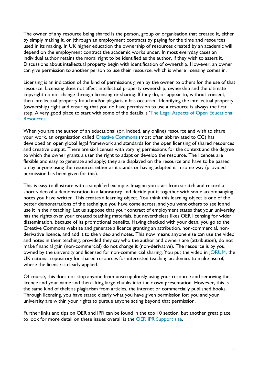The owner of any resource being shared is the person, group or organisation that created it, either by simply making it, or (through an employment contract) by paying for the time and resources used in its making. In UK higher education the ownership of resources created by an academic will depend on the employment contract the academic works under. In most everyday cases an individual author retains the moral right to be identified as the author, if they wish to assert it. Discussions about intellectual property begin with identification of ownership. However, an owner can give permission to another person to use their resource, which is where licensing comes in.

Licensing is an indication of the kind of permissions given by the owner to others for the use of that resource. Licensing does not affect intellectual property ownership; ownership and the ultimate copyright do not change through licensing or sharing. If they do, or appear to, without consent, then intellectual property fraud and/or plagiarism has occurred. Identifying the intellectual property (ownership) right and ensuring that you do have permission to use a resource is always the first step. A very good place to start with some of the details is '[The Legal Aspects of Open Educational](https://openeducationalresources.pbworks.com/w/page/25308415/legal%2520aspects%2520of%2520oer)  [Resources](https://openeducationalresources.pbworks.com/w/page/25308415/legal%2520aspects%2520of%2520oer)'.

When you are the author of an educational (or, indeed, any online) resource and wish to share your work, an organisation called [Creative Commons](http://creativecommons.org/) (most often abbreviated to CC) has developed an open global legal framework and standards for the open licensing of shared resources and creative output. There are six licenses with varying permissions for the context and the degree to which the owner grants a user the right to adapt or develop the resource. The licences are flexible and easy to generate and apply; they are displayed on the resource and have to be passed on by anyone using the resource, either as it stands or having adapted it in some way (provided permission has been given for this).

This is easy to illustrate with a simplified example. Imagine you start from scratch and record a short video of a demonstration in a laboratory and decide put it together with some accompanying notes you have written. This creates a learning object. You think this learning object is one of the better demonstrations of the technique you have come across, and you want others to see it and use it in their teaching. Let us suppose that your contract of employment states that your university has the rights over your created teaching materials, but nevertheless likes OER licensing for wider dissemination, because of its promotional benefits. Having checked with your dean, you go to the Creative Commons website and generate a licence granting an attribution, non-commercial, nonderivative licence, and add it to the video and notes. This now means anyone else can use the video and notes in their teaching, provided they say who the author and owners are (attribution), do not make financial gain (non-commercial) do not change it (non-derivative). The resource is by you, owned by the university and licensed for non-commercial sharing. You put the video in [JORUM,](http://www.jorum.ac.uk/) the UK national repository for shared resources for interested teaching academics to make use of, where the license is clearly applied.

Of course, this does not stop anyone from unscrupulously using your resource and removing the licence and your name and then lifting large chunks into their own presentation. However, this is the same kind of theft as plagiarism from articles, the internet or commercially published books. Through licensing, you have stated clearly what you have given permission for; you and your university are within your rights to pursue anyone acting beyond that permission.

Further links and tips on OER and IPR can be found in the top 10 section, but another great place to look for more detail on these issues overall is the [OER IPR Support site.](http://www.web2rights.com/OERIPRSupport/starter.html)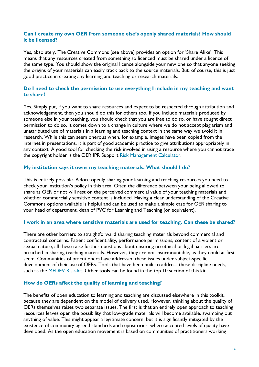#### <span id="page-13-0"></span>**Can I create my own OER from someone else's openly shared materials? How should it be licensed?**

Yes, absolutely. The Creative Commons (see above) provides an option for 'Share Alike'. This means that any resources created from something so licenced must be shared under a licence of the same type. You should show the original licence alongside your new one so that anyone seeking the origins of your materials can easily track back to the source materials. But, of course, this is just good practice in creating any learning and teaching or research materials.

#### <span id="page-13-1"></span>**Do I need to check the permission to use everything I include in my teaching and want to share?**

Yes. Simply put, if you want to share resources and expect to be respected through attribution and acknowledgement, then you should do this for others too. If you include materials produced by someone else in your teaching, you should check that you are free to do so, or have sought direct permission to do so. It comes down to a change in culture where we do not accept plagiarism and unattributed use of materials in a learning and teaching context in the same way we avoid it in research. While this can seem onerous when, for example, images have been copied from the internet in presentations, it is part of good academic practice to give attributions appropriately in any context. A good tool for checking the risk involved in using a resource where you cannot trace the copyright holder is the OER IPR Support [Risk Management Calculator.](http://www.web2rights.com/OERIPRSupport/risk-management-calculator/)

#### <span id="page-13-2"></span>**My institution says it owns my teaching materials. What should I do?**

This is entirely possible. Before openly sharing your learning and teaching resources you need to check your institution's policy in this area. Often the difference between your being allowed to share as OER or not will rest on the perceived commercial value of your teaching materials and whether commercially sensitive content is included. Having a clear understanding of the Creative Commons options available is helpful and can be used to make a simple case for OER sharing to your head of department, dean of PVC for Learning and Teaching (or equivalent).

#### <span id="page-13-3"></span>**I work in an area where sensitive materials are used for teaching. Can these be shared?**

There are other barriers to straightforward sharing teaching materials beyond commercial and contractual concerns. Patient confidentiality, performance permissions, content of a violent or sexual nature, all these raise further questions about ensuring no ethical or legal barriers are breached in sharing teaching materials. However, they are not insurmountable, as they could at first seem. Communities of practitioners have addressed these issues under subject-specific development of their use of OERs. Tools that have been built to address these discipline needs, such as the [MEDEV Risk-kit.](http://www.medev.ac.uk/ourwork/oer/toolkits/) Other tools can be found in the top 10 section of this kit.

#### <span id="page-13-4"></span>**How do OERs affect the quality of learning and teaching?**

The benefits of open education to learning and teaching are discussed elsewhere in this toolkit, because they are dependent on the model of delivery used. However, thinking about the quality of OERs themselves raises two separate issues. The first is that an entirely open approach to teaching resources leaves open the possibility that low-grade materials will become available, swamping out anything of value. This might appear a legitimate concern, but it is significantly mitigated by the existence of community-agreed standards and repositories, where accepted levels of quality have developed. As the open education movement is based on communities of practitioners working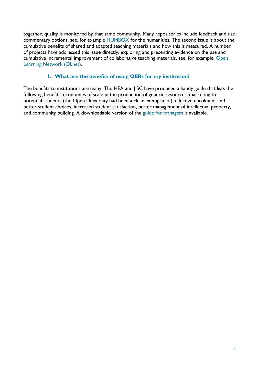together, quality is monitored by that same community. Many repositories include feedback and use commentary options; see, for example [HUMBOX](http://humbox.ac.uk/) for the humanities. The second issue is about the cumulative benefits of shared and adapted teaching materials and how this is measured. A number of projects have addressed this issue directly, exploring and presenting evidence on the use and cumulative incremental improvement of collaborative teaching materials, see, for example, [Open](http://www.olnet.org/)  [Learning Network \(OLnet\).](http://www.olnet.org/)

### **1. What are the benefits of using OERs for my institution?**

<span id="page-14-0"></span>The benefits to institutions are many. The HEA and JISC have produced a handy guide that lists the following benefits: economies of scale in the production of generic resources, marketing to potential students (the Open University had been a clear exemplar of), effective enrolment and better student choices, increased student satisfaction, better management of intellectual property, and community building. A downloadable version of the [guide for managers](http://www.jisc.ac.uk/media/documents/programmes/OER3/OER-%20Web%20ready.pdf) is available.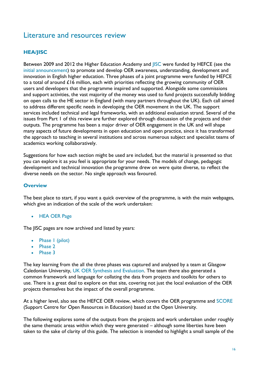# <span id="page-15-0"></span>Literature and resources review

## <span id="page-15-1"></span>**HEA/JISC**

Between 2009 and 2012 the Higher Education Academy and [JISC](http://www.jisc.ac.uk/) were funded by HEFCE (see the [initial announcement\)](http://www.hefce.ac.uk/news/newsarchive/2008/name,62104,en.html) to promote and develop OER awareness, understanding, development and innovation in English higher education. Three phases of a joint programme were funded by HEFCE to a total of around £16 million, each with priorities reflecting the growing community of OER users and developers that the programme inspired and supported. Alongside some commissions and support activities, the vast majority of the money was used to fund projects successfully bidding on open calls to the HE sector in England (with many partners throughout the UK). Each call aimed to address different specific needs in developing the OER movement in the UK. The support services included technical and legal frameworks, with an additional evaluation strand. Several of the issues from Part 1 of this review are further explored through discussion of the projects and their outputs. The programme has been a major driver of OER engagement in the UK and will shape many aspects of future developments in open education and open practice, since it has transformed the approach to teaching in several institutions and across numerous subject and specialist teams of academics working collaboratively.

Suggestions for how each section might be used are included, but the material is presented so that you can explore it as you feel is appropriate for your needs. The models of change, pedagogic development and technical innovation the programme drew on were quite diverse, to reflect the diverse needs on the sector. No single approach was favoured.

#### <span id="page-15-2"></span>**Overview**

The best place to start, if you want a quick overview of the programme, is with the main webpages, which give an indication of the scale of the work undertaken:

• [HEA OER Page](http://www.heacademy.ac.uk/oer)

The JISC pages are now archived and listed by years:

- Phase I (pilot)
- [Phase 2](http://www.jisc.ac.uk/whatwedo/programmes/elearning/oer2.aspx)
- [Phase 3](http://www.jisc.ac.uk/whatwedo/programmes/ukoer3.aspx)

The key learning from the all the three phases was captured and analysed by a team at Glasgow Caledonian University, [UK OER Synthesis and Evaluation.](https://oersynth.pbworks.com/w/page/29595671/OER%20Synthesis%20and%20Evaluation%20Project) The team there also generated a common framework and language for collating the data from projects and toolkits for others to use. There is a great deal to explore on that site, covering not just the local evaluation of the OER projects themselves but the impact of the overall programme.

At a higher level, also see the HEFCE OER review, which covers the OER programme and [SCORE](http://www.open.ac.uk/score/) (Support Centre for Open Resources in Education) based at the Open University.

The following explores some of the outputs from the projects and work undertaken under roughly the same thematic areas within which they were generated – although some liberties have been taken to the sake of clarity of this guide. The selection is intended to highlight a small sample of the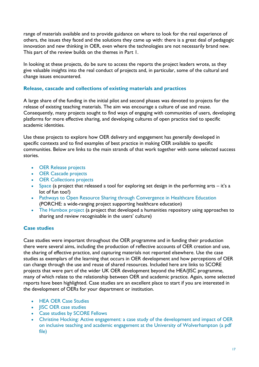range of materials available and to provide guidance on where to look for the real experience of others, the issues they faced and the solutions they came up with: there is a great deal of pedagogic innovation and new thinking in OER, even where the technologies are not necessarily brand new. This part of the review builds on the themes in Part 1.

In looking at these projects, do be sure to access the reports the project leaders wrote, as they give valuable insights into the real conduct of projects and, in particular, some of the cultural and change issues encountered.

### <span id="page-16-0"></span>**Release, cascade and collections of existing materials and practices**

A large share of the funding in the initial pilot and second phases was devoted to projects for the release of existing teaching materials. The aim was encourage a culture of use and reuse. Consequently, many projects sought to find ways of engaging with communities of users, developing platforms for more effective sharing, and developing cultures of open practice tied to specific academic identities.

Use these projects to explore how OER delivery and engagement has generally developed in specific contexts and to find examples of best practice in making OER available to specific communities. Below are links to the main strands of that work together with some selected success stories.

- [OER Release projects](http://www.heacademy.ac.uk/resources/detail/oer/oer-phase-2-ai-release-strand)
- [OER Cascade projects](http://www.heacademy.ac.uk/resources/detail/oer/oer-phase-2-aiii-cascade-strand)
- **[OER Collections projects](http://www.heacademy.ac.uk/resources/detail/oer/oer-phase-2-ci-collections-strand)**
- [Space](http://www.space.fusedworks.com/) (a project that released a tool for exploring set design in the performing arts it's a lot of fun too!)
- [Pathways to Open Resource Sharing through Convergence in Healthcare Education](http://www.medev.ac.uk/ourwork/oer/PORSCHE/) (PORCHE: a wide-ranging project supporting healthcare education)
- [The Humbox project](http://www.llas.ac.uk/projects/3233) (a project that developed a humanities repository using approaches to sharing and review recognisable in the users' culture)

## <span id="page-16-1"></span>**Case studies**

Case studies were important throughout the OER programme and in funding their production there were several aims, including the production of reflective accounts of OER creation and use, the sharing of effective practice, and capturing materials not reported elsewhere. Use the case studies as exemplars of the learning that occurs in OER development and how perceptions of OER can change through the use and reuse of shared resources. Included here are links to SCORE projects that were part of the wider UK OER development beyond the HEA/JISC programme, many of which relate to the relationship between OER and academic practice. Again, some selected reports have been highlighted. Case studies are an excellent place to start if you are interested in the development of OERs for your department or institution.

- [HEA OER Case Studies](http://www.heacademy.ac.uk/resources/detail/oer/oer-phase-3-case-studies)
- **[JISC OER case studies](http://www.jisc.ac.uk/oer)**
- [Case studies by SCORE Fellows](http://www.open.ac.uk/score/case-studies)
- [Christine Hocking: Active engagement: a case study of the development and impact of OER](http://www.heacademy.ac.uk/assets/documents/oer/OER_CS_Christine_Hockings_Active_Engagement.pdf)  [on inclusive teaching and academic engagement at the University of Wolverhampton \(a pdf](http://www.heacademy.ac.uk/assets/documents/oer/OER_CS_Christine_Hockings_Active_Engagement.pdf)  [file\)](http://www.heacademy.ac.uk/assets/documents/oer/OER_CS_Christine_Hockings_Active_Engagement.pdf)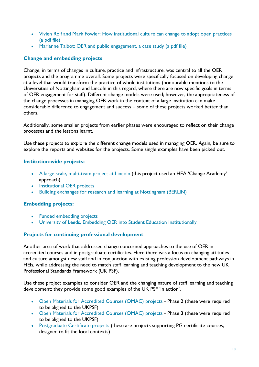- [Vivien Rolf and Mark Fowler: How institutional culture can change to adopt open practices](http://www.heacademy.ac.uk/assets/documents/oer/OER_CS_Vivien_Rolfe_How_institutional_culture_can_change.pdf)  [\(a pdf file\)](http://www.heacademy.ac.uk/assets/documents/oer/OER_CS_Vivien_Rolfe_How_institutional_culture_can_change.pdf)
- [Marianne Talbot: OER and public engagement, a case study \(a pdf file\)](http://www.heacademy.ac.uk/assets/documents/oer/OER_CS_Marianne_Talbot_OER_and_public_engagement.pdf)

#### <span id="page-17-0"></span>**Change and embedding projects**

Change, in terms of changes in culture, practice and infrastructure, was central to all the OER projects and the programme overall. Some projects were specifically focused on developing change at a level that would transform the practice of whole institutions (honourable mentions to the Universities of Nottingham and Lincoln in this regard, where there are now specific goals in terms of OER engagement for staff). Different change models were used; however, the appropriateness of the change processes in managing OER work in the context of a large institution can make considerable difference to engagement and success – some of these projects worked better than others.

Additionally, some smaller projects from earlier phases were encouraged to reflect on their change processes and the lessons learnt.

Use these projects to explore the different change models used in managing OER. Again, be sure to explore the reports and websites for the projects. Some single examples have been picked out.

#### <span id="page-17-1"></span>**Institution-wide projects:**

- [A large scale, multi-team project at Lincoln](http://www.heacademy.ac.uk/projects/detail/oer/OER_HEIC1_Lincoln) (this project used an HEA 'Change Academy' approach)
- [Institutional OER projects](http://www.heacademy.ac.uk/resources/detail/oer/oer-pilot-phase-institutional-strand)
- [Building exchanges for research and learning](http://www.jisc.ac.uk/whatwedo/programmes/elearning/oer/berlin.aspx) at Nottingham (BERLIN)

#### <span id="page-17-2"></span>**Embedding projects:**

- [Funded embedding projects](http://www.heacademy.ac.uk/resources/detail/oer/oer-phase-3-commissioned-embedding-projects)
- [University of Leeds, Embedding OER into Student Education Institutionally](http://www.heacademy.ac.uk/projects/detail/oer/OER_COM2_Leeds)

#### <span id="page-17-3"></span>**Projects for continuing professional development**

Another area of work that addressed change concerned approaches to the use of OER in accredited courses and in postgraduate certificates. Here there was a focus on changing attitudes and culture amongst new staff and in conjunction with existing profession development pathways in HEIs, while addressing the need to match staff learning and teaching development to the new UK Professional Standards Framework (UK PSF).

Use these project examples to consider OER and the changing nature of staff learning and teaching development: they provide some good examples of the UK PSF 'in action'.

- [Open Materials for Accredited Courses \(OMAC\) projects](http://www.heacademy.ac.uk/resources/detail/oer/oer-phase-2-aii-omac-strand) Phase 2 (these were required to be aligned to the UKPSF)
- [Open Materials for Accredited Courses \(OMAC\) projects](http://www.heacademy.ac.uk/resources/detail/oer/oer-phase-3-omac) Phase 3 (these were required to be aligned to the UKPSF)
- [Postgraduate Certificate projects](http://www.heacademy.ac.uk/resources/detail/oer/oer-phase-3-PGCert-projects) (these are projects supporting PG certificate courses, designed to fit the local contexts)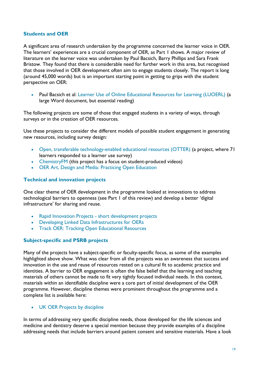#### <span id="page-18-0"></span>**Students and OER**

A significant area of research undertaken by the programme concerned the learner voice in OER. The learners' experiences are a crucial component of OER, as Part 1 shows. A major review of literature on the learner voice was undertaken by Paul Bacsich, Barry Phillips and Sara Frank Bristow. They found that there is considerable need for further work in this area, but recognised that those involved in OER development often aim to engage students closely. The report is long (around 45,000 words) but is an important starting point in getting to grips with the student perspective on OER:

• Paul Bacsich et al: [Learner Use of Online Educational Resources for Learning \(LUOERL\)](http://www.heacademy.ac.uk/assets/documents/oer/Learner_Use_of_Online_Educational_Resources.docx) (a large Word document, but essential reading)

The following projects are some of those that engaged students in a variety of ways, through surveys or in the creation of OER resources.

Use these projects to consider the different models of possible student engagement in generating new resources, including survey design:

- [Open, transferable technology-enabled educational resources \(OTTER\)](http://www.jisc.ac.uk/whatwedo/programmes/elearning/oer/otter.aspx) (a project, where 71 learners responded to a learner use survey)
- [ChemistryFM](http://www.heacademy.ac.uk/projects/detail/oer/OER_IND_Lincoln) (this project has a focus on student-produced videos)
- [OER Art, Design and Media: Practicing Open Education](http://www.jisc.ac.uk/whatwedo/programmes/elearning/oer2/poe.aspx)

#### <span id="page-18-1"></span>**Technical and innovation projects**

One clear theme of OER development in the programme looked at innovations to address technological barriers to openness (see Part 1 of this review) and develop a better 'digital infrastructure' for sharing and reuse.

- Rapid Innovation Projects [short development projects](http://www.jisc.ac.uk/whatwedo/programmes/ukoer3/rapidinnovation.aspx)
- [Developing Linked Data Infrastructures for OERs](http://www.jisc.ac.uk/whatwedo/programmes/ukoer3/rapidinnovation/developinglinkeddata.aspx)
- [Track OER: Tracking Open Educational Resources](http://www.jisc.ac.uk/whatwedo/programmes/ukoer3/rapidinnovation/trackoer.aspx)

#### <span id="page-18-2"></span>**Subject-specific and PSRB projects**

Many of the projects have a subject-specific or faculty-specific focus, as some of the examples highlighted above show. What was clear from all the projects was an awareness that success and innovation in the use and reuse of resources rested on a cultural fit to academic practice and identities. A barrier to OER engagement is often the false belief that the learning and teaching materials of others cannot be made to fit very tightly focused individual needs. In this context, materials within an identifiable discipline were a core part of initial development of the OER programme. However, discipline themes were prominent throughout the programme and a complete list is available here:

#### [UK OER Projects by discipline](https://openeducationalresources.pbworks.com/w/page/62658081/UKOER-subject-disciplines)

In terms of addressing very specific discipline needs, those developed for the life sciences and medicine and dentistry deserve a special mention because they provide examples of a discipline addressing needs that include barriers around patient consent and sensitive materials. Have a look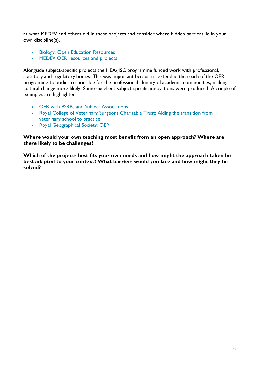at what MEDEV and others did in these projects and consider where hidden barriers lie in your own discipline(s).

- **[Biology: Open Education Resources](http://www.biologycourses.co.uk/category/open-education-resources)**
- MEDEV OER [resources and projects](http://www.medev.ac.uk/ourwork/oer/)

Alongside subject-specific projects the HEA/JISC programme funded work with professional, statutory and regulatory bodies. This was important because it extended the reach of the OER programme to bodies responsible for the professional identity of academic communities, making cultural change more likely. Some excellent subject-specific innovations were produced. A couple of examples are highlighted.

- [OER with PSRBs and Subject Associations](http://www.heacademy.ac.uk/resources/detail/oer/oer-phase-3-PSRBs)
- [Royal College of Veterinary Surgeons Charitable Trust: Aiding the transition from](http://trust.rcvs.org.uk/library-and-information-services/oer-to-help-new-practitioners-cope/)  [veterinary school to practice](http://trust.rcvs.org.uk/library-and-information-services/oer-to-help-new-practitioners-cope/)
- [Royal Geographical Society: OER](http://www.rgs.org/OurWork/Research+and+Higher+Education/Teaching+and+learning+in+higher+education/Open+Educational+Resources.htm)

**Where would your own teaching most benefit from an open approach? Where are there likely to be challenges?**

**Which of the projects best fits your own needs and how might the approach taken be best adapted to your context? What barriers would you face and how might they be solved?**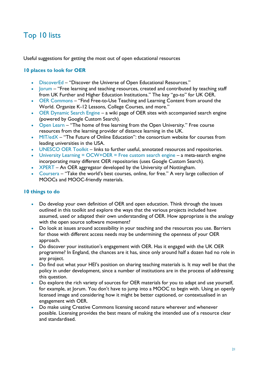# <span id="page-20-0"></span>Top 10 lists

Useful suggestions for getting the most out of open educational resources

### <span id="page-20-1"></span>**10 places to look for OER**

- [DiscoverEd](http://wiki.creativecommons.org/DiscoverEd) "Discover the Universe of Open Educational Resources."
- [Jorum](http://www.jorum.ac.uk/) "Free learning and teaching resources, created and contributed by teaching staff from UK Further and Higher Education Institutions." The key "go-to" for UK OER.
- [OER Commons](http://www.oercommons.org/) "Find Free-to-Use Teaching and Learning Content from around the World. Organize K-12 Lessons, College Courses, and more."
- [OER Dynamic Search Engine](http://edtechpost.wikispaces.com/OER+Dynamic+Search+Engine) a wiki page of OER sites with accompanied search engine (powered by Google Custom Search).
- [Open Learn](http://www.open.edu/openlearn/) "The home of free learning from the Open University." Free course resources from the learning provider of distance learning in the UK.
- [MIT/edX](https://www.edx.org/) "The Future of Online Education": the consortium website for courses from leading universities in the USA.
- [UNESCO OER Toolkit](http://oerwiki.iiep.unesco.org/index.php/UNESCO_OER_Toolkit) links to further useful, annotated resources and repositories.
- University Learning  $= OCW + OER = Free$  custom search engine a meta-search engine incorporating many different OER repositories (uses Google Custom Search).
- [XPERT](http://xpert.nottingham.ac.uk/) An OER aggregator developed by the University of Nottingham.
- [Coursera](https://www.coursera.org/) "Take the world's best courses, online, for free." A very large collection of MOOCs and MOOC-friendly materials.

#### <span id="page-20-2"></span>**10 things to do**

- Do develop your own definition of OER and open education. Think through the issues outlined in this toolkit and explore the ways that the various projects included have assumed, used or adapted their own understanding of OER. How appropriate is the analogy with the open source software movement?
- Do look at issues around accessibility in your teaching and the resources you use. Barriers for those with different access needs may be undermining the openness of your OER approach.
- Do discover your institution's engagement with OER. Has it engaged with the UK OER programme? In England, the chances are it has, since only around half a dozen had no role in any project.
- Do find out what your HEI's position on sharing teaching materials is. It may well be that the policy in under development, since a number of institutions are in the process of addressing this question.
- Do explore the rich variety of sources for OER materials for you to adapt and use yourself, for example, at Jorum. You don't have to jump into a MOOC to begin with. Using an openly licensed image and considering how it might be better captioned, or contextualised in an engagement with OER.
- Do make using Creative Commons licensing second nature wherever and whenever possible. Licensing provides the best means of making the intended use of a resource clear and standardised.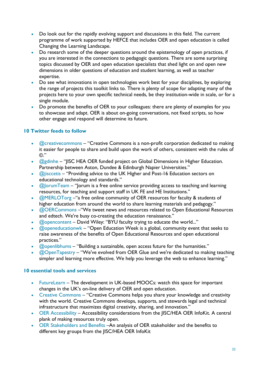- Do look out for the rapidly evolving support and discussions in this field. The current programme of work supported by HEFCE that includes OER and open education is called Changing the Learning Landscape.
- Do research some of the deeper questions around the epistemology of open practices, if you are interested in the connections to pedagogic questions. There are some surprising topics discussed by OER and open education specialists that shed light on and open new dimensions in older questions of education and student learning, as well as teacher expertise.
- Do see what innovations in open technologies work best for your disciplines, by exploring the range of projects this toolkit links to. There is plenty of scope for adapting many of the projects here to your own specific technical needs, be they institution-wide in scale, or for a single module.
- Do promote the benefits of OER to your colleagues: there are plenty of examples for you to showcase and adapt. OER is about on-going conversations, not fixed scripts, so how other engage and respond will determine its future.

## <span id="page-21-0"></span>**10 Twitter feeds to follow**

- $\bullet$   $\oslash$   $\oslash$   $\oslash$   $\oslash$   $\oslash$   $\oslash$   $\oslash$   $\oslash$   $\oslash$   $\oslash$   $\oslash$   $\oslash$   $\oslash$   $\oslash$   $\oslash$   $\oslash$   $\oslash$   $\oslash$   $\oslash$   $\oslash$   $\oslash$   $\oslash$   $\oslash$   $\oslash$   $\oslash$   $\oslash$   $\oslash$   $\oslash$   $\oslash$   $\oslash$   $\oslash$   $\oslash$   $\oslash$   $\oslash$   $\oslash$   $\oslash$  it easier for people to share and build upon the work of others, consistent with the rules of ©."
- [@gdinhe](https://twitter.com/gdinhe) "JISC HEA OER funded project on Global Dimensions in Higher Education. Partnership between Aston, Dundee & Edinburgh Napier Universities."
- [@jisccetis](https://twitter.com/jisccetis) "Providing advice to the UK Higher and Post-16 Education sectors on educational technology and standards."
- $\odot$   $\oslash$   $\oslash$   $\oslash$   $\oslash$   $\oslash$   $\oslash$   $\oslash$   $\oslash$   $\oslash$   $\oslash$   $\oslash$   $\oslash$   $\oslash$   $\oslash$   $\oslash$   $\oslash$   $\oslash$   $\oslash$   $\oslash$   $\oslash$   $\oslash$   $\oslash$   $\oslash$   $\oslash$   $\oslash$   $\oslash$   $\oslash$   $\oslash$   $\oslash$   $\oslash$   $\oslash$   $\oslash$   $\oslash$   $\oslash$   $\oslash$   $\oslash$ resources, for teaching and support staff in UK FE and HE Institutions."
- [@MERLOTorg](https://twitter.com/MERLOTorg) "a free online community of OER resources for faculty & students of higher education from around the world to share learning materials and pedagogy."
- [@OERCommons](https://twitter.com/OERCommons) "We tweet news and resources related to Open Educational Resources and edtech. We're busy co-creating the education renaissance."
- [@opencontent](https://twitter.com/opencontent) David Wiley: "BYU faculty trying to educate the world..."
- [@openeducationwk](https://twitter.com/openeducationwk) "Open Education Week is a global, community event that seeks to raise awareness of the benefits of Open Educational Resources and open educational practices."
- [@openlibhums](https://twitter.com/openlibhums) "Building a sustainable, open access future for the humanities."
- [@OpenTapestry](https://twitter.com/OpenTapestry) "We've evolved from OER Glue and we're dedicated to making teaching simpler and learning more effective. We help you leverage the web to enhance learning."

### <span id="page-21-1"></span>**10 essential tools and services**

- [FutureLearn](http://futurelearn.com/) The development in UK-based MOOCs: watch this space for important changes in the UK's on-line delivery of OER and open education.
- [Creative Commons](http://creativecommons.org/) "Creative Commons helps you share your knowledge and creativity with the world. Creative Commons develops, supports, and stewards legal and technical infrastructure that maximizes digital creativity, sharing, and innovation."
- [OER Accessibility](https://openeducationalresources.pbworks.com/w/page/25029246/Accessibility%20considerations) Accessibility considerations from the JISC/HEA OER InfoKit. A central plank of making resources truly open.
- [OER Stakeholders and Benefits](https://openeducationalresources.pbworks.com/w/page/24838012/stakeholders%2520and%2520benefits) –An analysis of OER stakeholder and the benefits to different key groups from the JISC/HEA OER InfoKit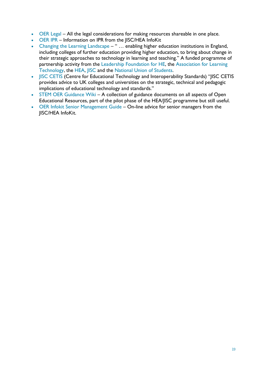- [OER Legal](https://openeducationalresources.pbworks.com/w/page/25308415/Legal%20Aspects%20of%20OER) All the legal considerations for making resources shareable in one place.
- [OER IPR](https://openeducationalresources.pbworks.com/w/page/24838224/Intellectual%20Property%20Rights%20considerations) Information on IPR from the JISC/HEA InfoKit
- [Changing the Learning Landscape](http://www.lfhe.ac.uk/en/programmes-events/your-university/cll/index.cfm) " ... enabling higher education institutions in England, including colleges of further education providing higher education, to bring about change in their strategic approaches to technology in learning and teaching." A funded programme of partnership activity from the [Leadership Foundation for HE,](http://www.lfhe.ac.uk/) the [Association for Learning](http://www.alt.ac.uk/)  [Technology,](http://www.alt.ac.uk/) the [HEA,](http://www.heacademy.ac.uk/) [JISC](http://www.jisc.ac.uk/) and the [National Union of Students.](http://www.nus.org.uk/)
- [JISC CETIS](http://www.jisc.ac.uk/whatwedo/services/jisccetis.aspx) (Centre for Educational Technology and Interoperability Standards) "JISC CETIS provides advice to UK colleges and universities on the strategic, technical and pedagogic implications of educational technology and standards."
- [STEM OER Guidance Wiki](http://stemoer.pbworks.com/w/page/6111366/STEM%20OER%20Guidance%20Wiki) A collection of guidance documents on all aspects of Open Educational Resources, part of the pilot phase of the HEA/JISC programme but still useful.
- [OER Infokit Senior Management Guide](https://openeducationalresources.pbworks.com/w/page/45742631/Senior%20Management%20Overview%20-%20Menu) On-line advice for senior managers from the JISC/HEA InfoKit.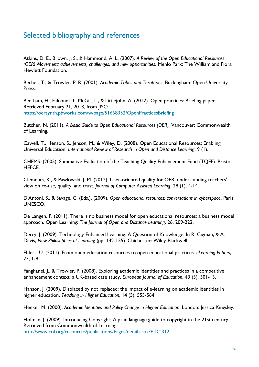# <span id="page-23-0"></span>Selected bibliography and references

Atkins, D. E., Brown, J. S., & Hammond, A. L. (2007). *A Review of the Open Educational Resources (OER) Movement: achievements, challenges, and new opportunities*. Menlo Park: The William and Flora Hewlett Foundation.

Becher, T., & Trowler, P. R. (2001). *Academic Tribes and Territories*. Buckingham: Open University Press.

Beetham, H., Falconer, I., McGill, L., & Littlejohn, A. (2012). Open practices: Briefing paper. Retrieved February 21, 2013, from JISC: <https://oersynth.pbworks.com/w/page/51668352/OpenPracticesBriefing>

Butcher, N. (2011). *A Basic Guide to Open Educational Resources (OER).* Vancouver: Commonwealth of Learning.

Cawell, T., Henson, S., Jenson, M., & Wiley, D. (2008). Open Educational Resources: Enabling Universal Education. *International Review of Research in Open and Distance Learning*, 9 (1).

CHEMS. (2005). Summative Evaluation of the Teaching Quality Enhancement Fund (TQEF). Bristol: HEFCE.

Clements, K., & Pawlowski, J. M. (2012). User-oriented quality for OER: understanding teachers' view on re-use, quality, and trust. *Journal of Computer Assisted Learning*, 28 (1), 4-14.

D'Antoni, S., & Savage, C. (Eds.). (2009). *Open educational resources: conversations in cyberspace*. Paris: UNESCO.

De Langen, F. (2011). There is no business model for open educational resources: a business model approach. Open Learning: *The Journal of Open and Distance Learning*, 26, 209-222.

Derry, J. (2009). Technology-Enhanced Learning: A Question of Knowledge. In R. Cigman, & A. Davis, *New Philosophies of Learning* (pp. 142-155). Chichester: Wiley-Blackwell.

Ehlers, U. (2011). From open education resources to open educational practices. *eLearning Papers*, 23, 1-8.

Fanghanel, J., & Trowler, P. (2008). Exploring academic identities and practices in a competitive enhancement context: a UK-based case study. *European Journal of Education*, 43 (3), 301-13.

Hanson, J. (2009). Displaced by not replaced: the impact of e-learning on academic identities in higher education. *Teaching in Higher Education*, 14 (5), 553-564.

Henkel, M. (2000). *Academic Identities and Policy Change in Higher Education*. London: Jessica Kingsley.

Hofman, J. (2009). Introducing Copyright: A plain language guide to copyright in the 21st century. Retrieved from Commonwealth of Learning[:](http://www.col.org/resources/publications/Pages/detail.aspx?PID=312) <http://www.col.org/resources/publications/Pages/detail.aspx?PID=312>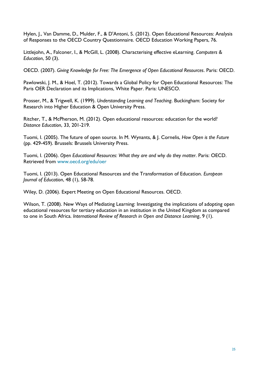Hylen, J., Van Damme, D., Mulder, F., & D'Antoni, S. (2012). Open Educational Resources: Analysis of Responses to the OECD Country Questionnaire. OECD Education Working Papers, 76.

Littlejohn, A., Falconer, I., & McGill, L. (2008). Characterising effective eLearning. *Computers & Education*, 50 (3).

OECD. (2007). *Giving Knowledge for Free: The Emergence of Open Educational Resources*. Paris: OECD.

Pawlowski, J. M., & Hoel, T. (2012). Towards a Global Policy for Open Educational Resources: The Paris OER Declaration and its Implications, White Paper. Paris: UNESCO.

Prosser, M., & Trigwell, K. (1999). *Understanding Learning and Teaching*. Buckingham: Society for Research into Higher Education & Open University Press.

Ritcher, T., & McPherson, M. (2012). Open educational resources: education for the world? *Distance Education*, 33, 201-219.

Tuomi, I. (2005). The future of open source. In M. Wynants, & J. Cornelis, *How Open is the Future* (pp. 429-459). Brussels: Brussels University Press.

Tuomi, I. (2006). *Open Educational Resources: What they are and why do they matter*. Paris: OECD. Retrieved from [www.oecd.org/edu/oer](http://www.heacademy.ac.uk/resources/detail/new-to-teaching/oer/www.oecd.org/edu/oer)

Tuomi, I. (2013). Open Educational Resources and the Transformation of Education. *European Journal of Education*, 48 (1), 58-78.

Wiley, D. (2006). Expert Meeting on Open Educational Resources. OECD.

Wilson, T. (2008). New Ways of Mediating Learning: Investigating the implications of adopting open educational resources for tertiary education in an institution in the United Kingdom as compared to one in South Africa. *International Review of Research in Open and Distance Learning*, 9 (1).